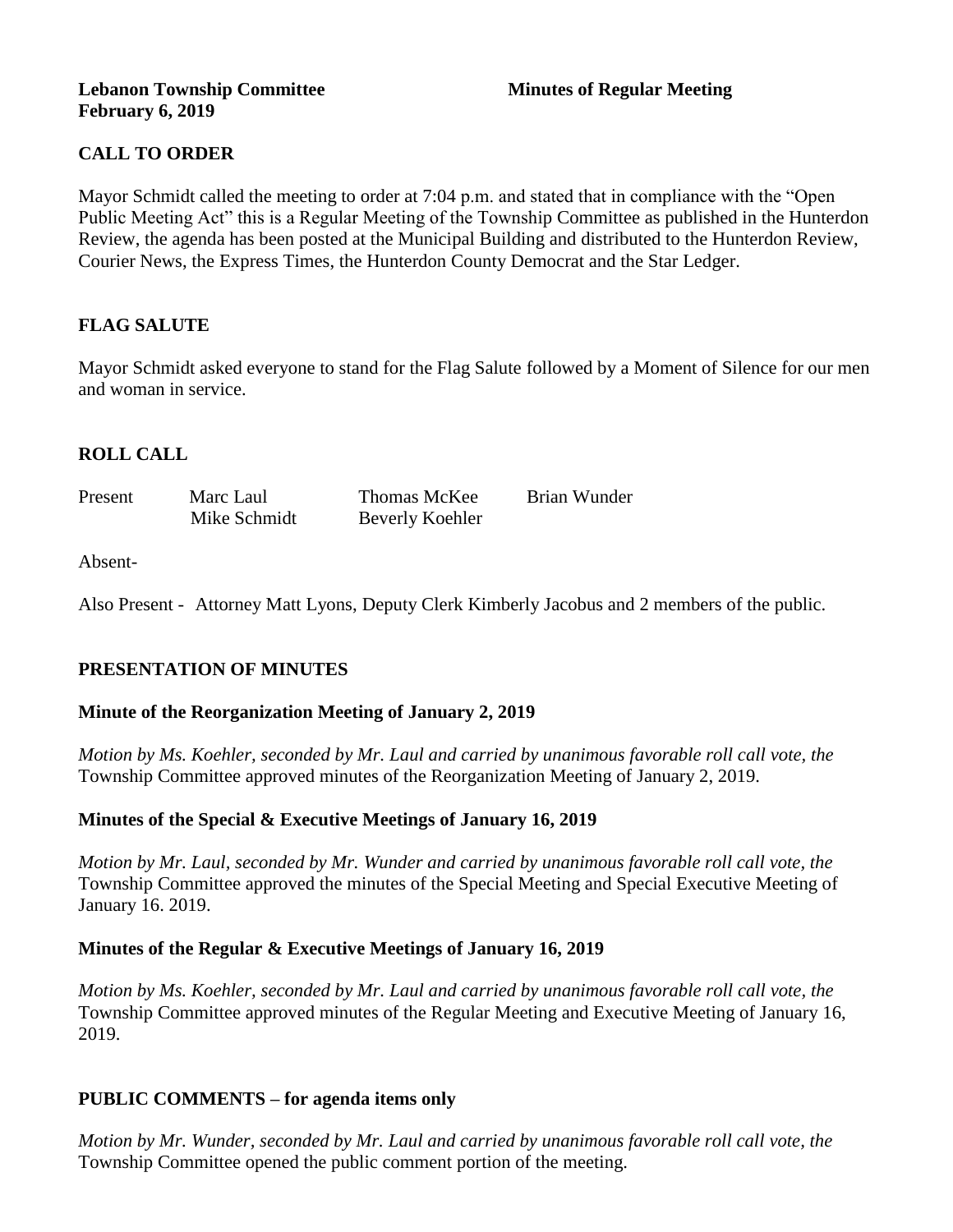#### **Lebanon Township Committee 3 2008 Minutes of Regular Meeting February 6, 2019**

# **CALL TO ORDER**

Mayor Schmidt called the meeting to order at 7:04 p.m. and stated that in compliance with the "Open Public Meeting Act" this is a Regular Meeting of the Township Committee as published in the Hunterdon Review, the agenda has been posted at the Municipal Building and distributed to the Hunterdon Review, Courier News, the Express Times, the Hunterdon County Democrat and the Star Ledger.

## **FLAG SALUTE**

Mayor Schmidt asked everyone to stand for the Flag Salute followed by a Moment of Silence for our men and woman in service.

## **ROLL CALL**

| Present | Marc Laul    | Thomas McKee    | Brian Wunder |
|---------|--------------|-----------------|--------------|
|         | Mike Schmidt | Beverly Koehler |              |

#### Absent-

Also Present - Attorney Matt Lyons, Deputy Clerk Kimberly Jacobus and 2 members of the public.

## **PRESENTATION OF MINUTES**

#### **Minute of the Reorganization Meeting of January 2, 2019**

*Motion by Ms. Koehler, seconded by Mr. Laul and carried by unanimous favorable roll call vote, the*  Township Committee approved minutes of the Reorganization Meeting of January 2, 2019.

#### **Minutes of the Special & Executive Meetings of January 16, 2019**

*Motion by Mr. Laul, seconded by Mr. Wunder and carried by unanimous favorable roll call vote, the*  Township Committee approved the minutes of the Special Meeting and Special Executive Meeting of January 16. 2019.

#### **Minutes of the Regular & Executive Meetings of January 16, 2019**

*Motion by Ms. Koehler, seconded by Mr. Laul and carried by unanimous favorable roll call vote, the*  Township Committee approved minutes of the Regular Meeting and Executive Meeting of January 16, 2019.

#### **PUBLIC COMMENTS – for agenda items only**

*Motion by Mr. Wunder, seconded by Mr. Laul and carried by unanimous favorable roll call vote, the*  Township Committee opened the public comment portion of the meeting.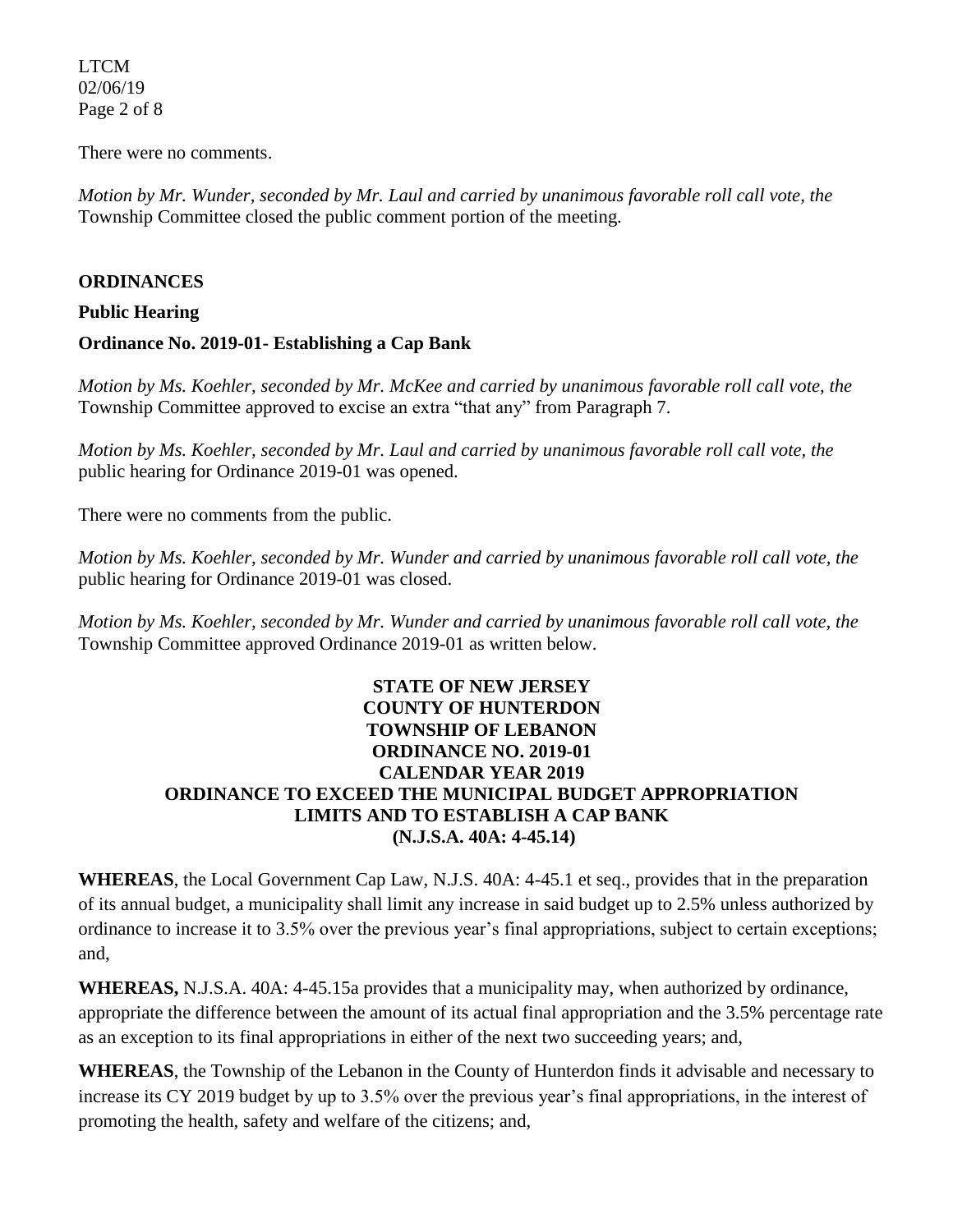LTCM 02/06/19 Page 2 of 8

There were no comments.

*Motion by Mr. Wunder, seconded by Mr. Laul and carried by unanimous favorable roll call vote, the*  Township Committee closed the public comment portion of the meeting.

#### **ORDINANCES**

#### **Public Hearing**

#### **Ordinance No. 2019-01- Establishing a Cap Bank**

*Motion by Ms. Koehler, seconded by Mr. McKee and carried by unanimous favorable roll call vote, the*  Township Committee approved to excise an extra "that any" from Paragraph 7.

*Motion by Ms. Koehler, seconded by Mr. Laul and carried by unanimous favorable roll call vote, the*  public hearing for Ordinance 2019-01 was opened.

There were no comments from the public.

*Motion by Ms. Koehler, seconded by Mr. Wunder and carried by unanimous favorable roll call vote, the*  public hearing for Ordinance 2019-01 was closed.

*Motion by Ms. Koehler, seconded by Mr. Wunder and carried by unanimous favorable roll call vote, the*  Township Committee approved Ordinance 2019-01 as written below.

## **STATE OF NEW JERSEY COUNTY OF HUNTERDON TOWNSHIP OF LEBANON ORDINANCE NO. 2019-01 CALENDAR YEAR 2019 ORDINANCE TO EXCEED THE MUNICIPAL BUDGET APPROPRIATION LIMITS AND TO ESTABLISH A CAP BANK (N.J.S.A. 40A: 4-45.14)**

**WHEREAS**, the Local Government Cap Law, N.J.S. 40A: 4-45.1 et seq., provides that in the preparation of its annual budget, a municipality shall limit any increase in said budget up to 2.5% unless authorized by ordinance to increase it to 3.5% over the previous year's final appropriations, subject to certain exceptions; and,

**WHEREAS,** N.J.S.A. 40A: 4-45.15a provides that a municipality may, when authorized by ordinance, appropriate the difference between the amount of its actual final appropriation and the 3.5% percentage rate as an exception to its final appropriations in either of the next two succeeding years; and,

**WHEREAS**, the Township of the Lebanon in the County of Hunterdon finds it advisable and necessary to increase its CY 2019 budget by up to 3.5% over the previous year's final appropriations, in the interest of promoting the health, safety and welfare of the citizens; and,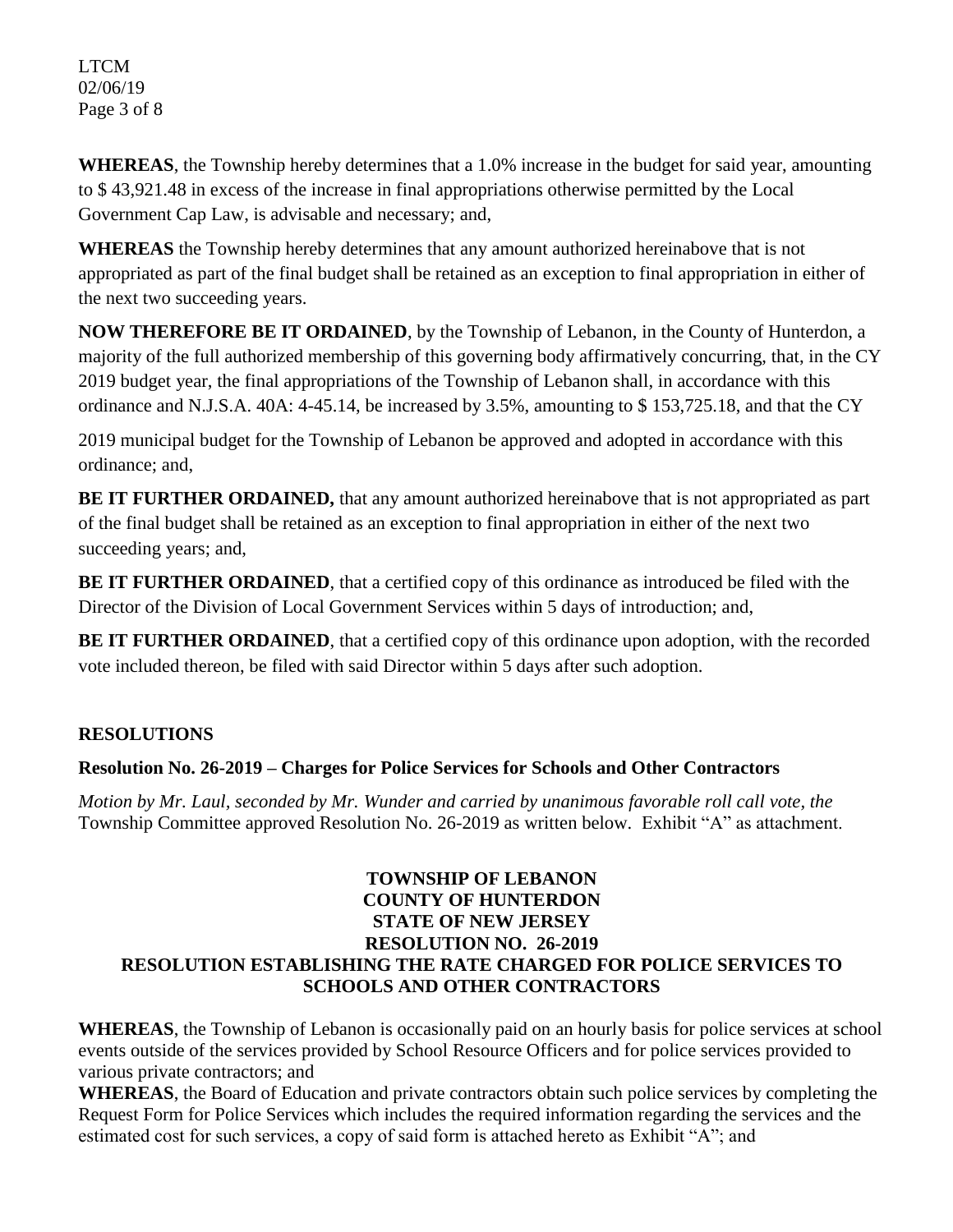LTCM 02/06/19 Page 3 of 8

**WHEREAS**, the Township hereby determines that a 1.0% increase in the budget for said year, amounting to \$ 43,921.48 in excess of the increase in final appropriations otherwise permitted by the Local Government Cap Law, is advisable and necessary; and,

**WHEREAS** the Township hereby determines that any amount authorized hereinabove that is not appropriated as part of the final budget shall be retained as an exception to final appropriation in either of the next two succeeding years.

**NOW THEREFORE BE IT ORDAINED**, by the Township of Lebanon, in the County of Hunterdon, a majority of the full authorized membership of this governing body affirmatively concurring, that, in the CY 2019 budget year, the final appropriations of the Township of Lebanon shall, in accordance with this ordinance and N.J.S.A. 40A: 4-45.14, be increased by 3.5%, amounting to \$ 153,725.18, and that the CY

2019 municipal budget for the Township of Lebanon be approved and adopted in accordance with this ordinance; and,

**BE IT FURTHER ORDAINED,** that any amount authorized hereinabove that is not appropriated as part of the final budget shall be retained as an exception to final appropriation in either of the next two succeeding years; and,

**BE IT FURTHER ORDAINED**, that a certified copy of this ordinance as introduced be filed with the Director of the Division of Local Government Services within 5 days of introduction; and,

**BE IT FURTHER ORDAINED**, that a certified copy of this ordinance upon adoption, with the recorded vote included thereon, be filed with said Director within 5 days after such adoption.

# **RESOLUTIONS**

# **Resolution No. 26-2019 – Charges for Police Services for Schools and Other Contractors**

*Motion by Mr. Laul, seconded by Mr. Wunder and carried by unanimous favorable roll call vote, the*  Township Committee approved Resolution No. 26-2019 as written below. Exhibit "A" as attachment.

## **TOWNSHIP OF LEBANON COUNTY OF HUNTERDON STATE OF NEW JERSEY RESOLUTION NO. 26-2019 RESOLUTION ESTABLISHING THE RATE CHARGED FOR POLICE SERVICES TO SCHOOLS AND OTHER CONTRACTORS**

**WHEREAS**, the Township of Lebanon is occasionally paid on an hourly basis for police services at school events outside of the services provided by School Resource Officers and for police services provided to various private contractors; and

**WHEREAS**, the Board of Education and private contractors obtain such police services by completing the Request Form for Police Services which includes the required information regarding the services and the estimated cost for such services, a copy of said form is attached hereto as Exhibit "A"; and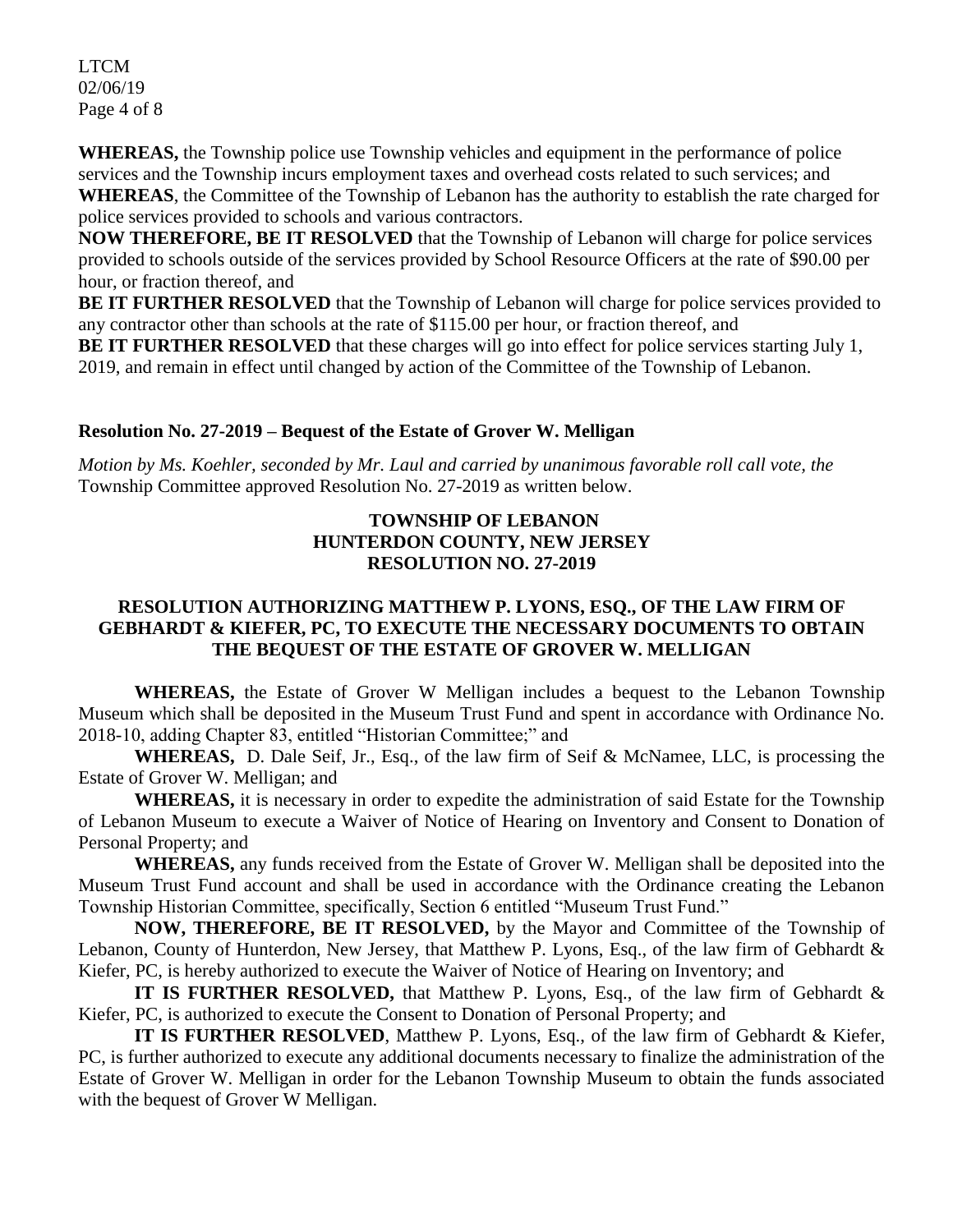LTCM 02/06/19 Page 4 of 8

**WHEREAS,** the Township police use Township vehicles and equipment in the performance of police services and the Township incurs employment taxes and overhead costs related to such services; and **WHEREAS**, the Committee of the Township of Lebanon has the authority to establish the rate charged for police services provided to schools and various contractors.

**NOW THEREFORE, BE IT RESOLVED** that the Township of Lebanon will charge for police services provided to schools outside of the services provided by School Resource Officers at the rate of \$90.00 per hour, or fraction thereof, and

**BE IT FURTHER RESOLVED** that the Township of Lebanon will charge for police services provided to any contractor other than schools at the rate of \$115.00 per hour, or fraction thereof, and

**BE IT FURTHER RESOLVED** that these charges will go into effect for police services starting July 1, 2019, and remain in effect until changed by action of the Committee of the Township of Lebanon.

## **Resolution No. 27-2019 – Bequest of the Estate of Grover W. Melligan**

*Motion by Ms. Koehler, seconded by Mr. Laul and carried by unanimous favorable roll call vote, the*  Township Committee approved Resolution No. 27-2019 as written below.

## **TOWNSHIP OF LEBANON HUNTERDON COUNTY, NEW JERSEY RESOLUTION NO. 27-2019**

## **RESOLUTION AUTHORIZING MATTHEW P. LYONS, ESQ., OF THE LAW FIRM OF GEBHARDT & KIEFER, PC, TO EXECUTE THE NECESSARY DOCUMENTS TO OBTAIN THE BEQUEST OF THE ESTATE OF GROVER W. MELLIGAN**

**WHEREAS,** the Estate of Grover W Melligan includes a bequest to the Lebanon Township Museum which shall be deposited in the Museum Trust Fund and spent in accordance with Ordinance No. 2018-10, adding Chapter 83, entitled "Historian Committee;" and

**WHEREAS,** D. Dale Seif, Jr., Esq., of the law firm of Seif & McNamee, LLC, is processing the Estate of Grover W. Melligan; and

**WHEREAS,** it is necessary in order to expedite the administration of said Estate for the Township of Lebanon Museum to execute a Waiver of Notice of Hearing on Inventory and Consent to Donation of Personal Property; and

**WHEREAS,** any funds received from the Estate of Grover W. Melligan shall be deposited into the Museum Trust Fund account and shall be used in accordance with the Ordinance creating the Lebanon Township Historian Committee, specifically, Section 6 entitled "Museum Trust Fund."

**NOW, THEREFORE, BE IT RESOLVED,** by the Mayor and Committee of the Township of Lebanon, County of Hunterdon, New Jersey, that Matthew P. Lyons, Esq., of the law firm of Gebhardt & Kiefer, PC, is hereby authorized to execute the Waiver of Notice of Hearing on Inventory; and

**IT IS FURTHER RESOLVED,** that Matthew P. Lyons, Esq., of the law firm of Gebhardt & Kiefer, PC, is authorized to execute the Consent to Donation of Personal Property; and

**IT IS FURTHER RESOLVED**, Matthew P. Lyons, Esq., of the law firm of Gebhardt & Kiefer, PC, is further authorized to execute any additional documents necessary to finalize the administration of the Estate of Grover W. Melligan in order for the Lebanon Township Museum to obtain the funds associated with the bequest of Grover W Melligan.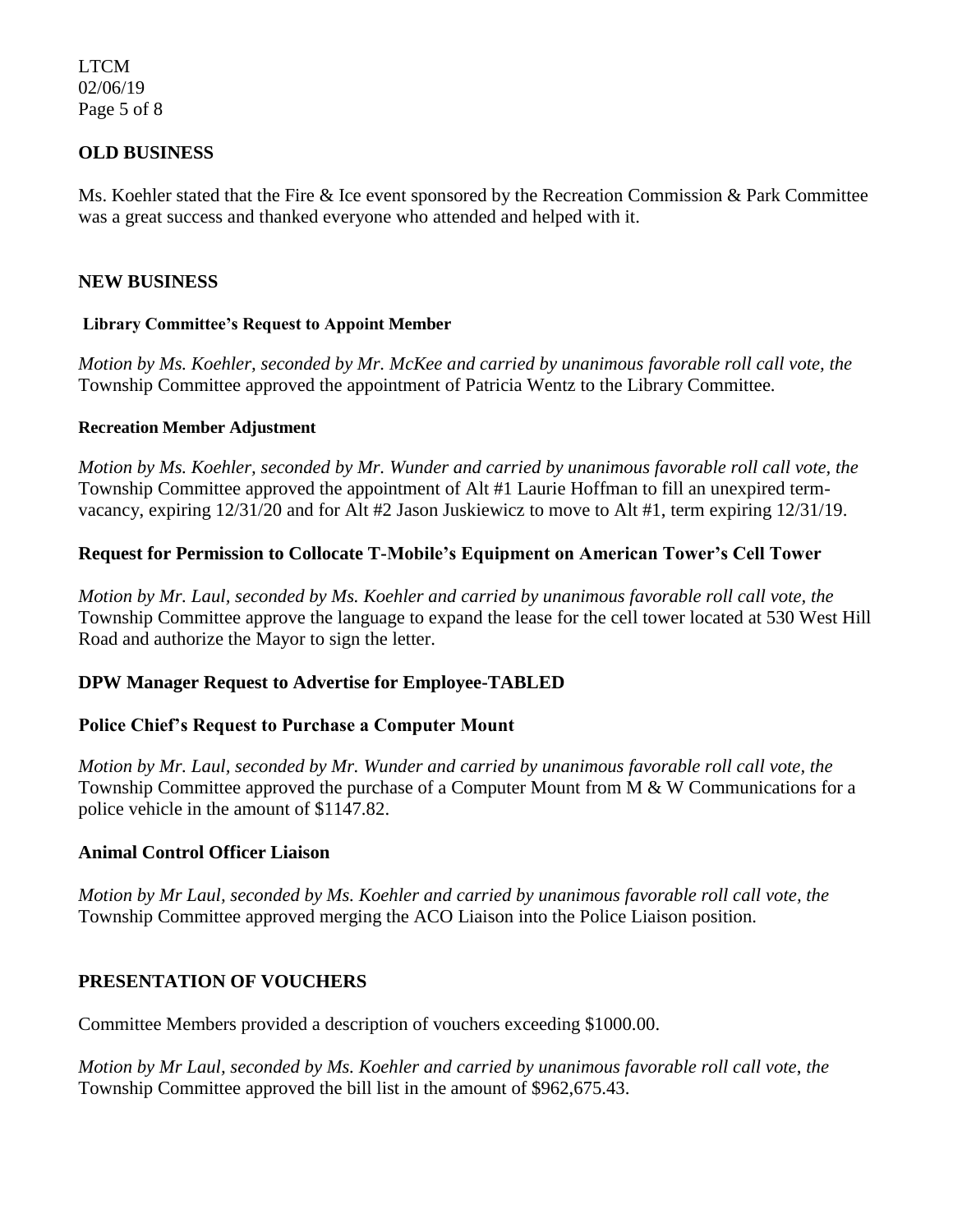LTCM 02/06/19 Page 5 of 8

## **OLD BUSINESS**

Ms. Koehler stated that the Fire & Ice event sponsored by the Recreation Commission & Park Committee was a great success and thanked everyone who attended and helped with it.

## **NEW BUSINESS**

#### **Library Committee's Request to Appoint Member**

*Motion by Ms. Koehler, seconded by Mr. McKee and carried by unanimous favorable roll call vote, the*  Township Committee approved the appointment of Patricia Wentz to the Library Committee.

#### **Recreation Member Adjustment**

*Motion by Ms. Koehler, seconded by Mr. Wunder and carried by unanimous favorable roll call vote, the*  Township Committee approved the appointment of Alt #1 Laurie Hoffman to fill an unexpired termvacancy, expiring 12/31/20 and for Alt #2 Jason Juskiewicz to move to Alt #1, term expiring 12/31/19.

## **Request for Permission to Collocate T-Mobile's Equipment on American Tower's Cell Tower**

*Motion by Mr. Laul, seconded by Ms. Koehler and carried by unanimous favorable roll call vote, the*  Township Committee approve the language to expand the lease for the cell tower located at 530 West Hill Road and authorize the Mayor to sign the letter.

#### **DPW Manager Request to Advertise for Employee-TABLED**

#### **Police Chief's Request to Purchase a Computer Mount**

*Motion by Mr. Laul, seconded by Mr. Wunder and carried by unanimous favorable roll call vote, the*  Township Committee approved the purchase of a Computer Mount from M & W Communications for a police vehicle in the amount of \$1147.82.

#### **Animal Control Officer Liaison**

*Motion by Mr Laul, seconded by Ms. Koehler and carried by unanimous favorable roll call vote, the*  Township Committee approved merging the ACO Liaison into the Police Liaison position.

#### **PRESENTATION OF VOUCHERS**

Committee Members provided a description of vouchers exceeding \$1000.00.

*Motion by Mr Laul, seconded by Ms. Koehler and carried by unanimous favorable roll call vote*, *the*  Township Committee approved the bill list in the amount of \$962,675.43.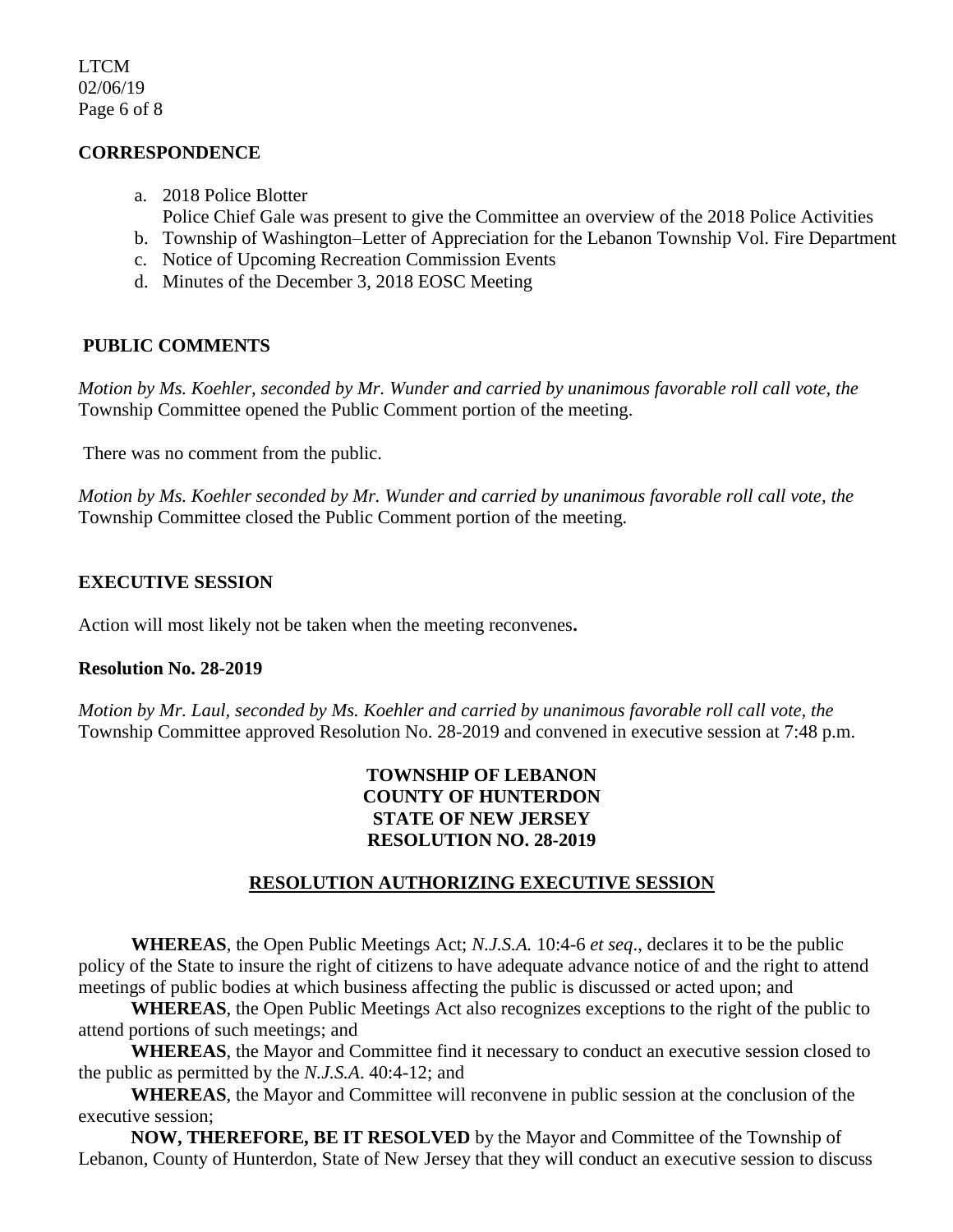LTCM 02/06/19 Page 6 of 8

## **CORRESPONDENCE**

- a. 2018 Police Blotter Police Chief Gale was present to give the Committee an overview of the 2018 Police Activities
- b. Township of Washington–Letter of Appreciation for the Lebanon Township Vol. Fire Department
- c. Notice of Upcoming Recreation Commission Events
- d. Minutes of the December 3, 2018 EOSC Meeting

## **PUBLIC COMMENTS**

*Motion by Ms. Koehler, seconded by Mr. Wunder and carried by unanimous favorable roll call vote, the*  Township Committee opened the Public Comment portion of the meeting.

There was no comment from the public.

*Motion by Ms. Koehler seconded by Mr. Wunder and carried by unanimous favorable roll call vote, the*  Township Committee closed the Public Comment portion of the meeting.

## **EXECUTIVE SESSION**

Action will most likely not be taken when the meeting reconvenes**.**

## **Resolution No. 28-2019**

*Motion by Mr. Laul, seconded by Ms. Koehler and carried by unanimous favorable roll call vote, the* Township Committee approved Resolution No. 28-2019 and convened in executive session at 7:48 p.m.

## **TOWNSHIP OF LEBANON COUNTY OF HUNTERDON STATE OF NEW JERSEY RESOLUTION NO. 28-2019**

## **RESOLUTION AUTHORIZING EXECUTIVE SESSION**

**WHEREAS**, the Open Public Meetings Act; *N.J.S.A.* 10:4-6 *et seq*., declares it to be the public policy of the State to insure the right of citizens to have adequate advance notice of and the right to attend meetings of public bodies at which business affecting the public is discussed or acted upon; and

**WHEREAS**, the Open Public Meetings Act also recognizes exceptions to the right of the public to attend portions of such meetings; and

**WHEREAS**, the Mayor and Committee find it necessary to conduct an executive session closed to the public as permitted by the *N.J.S.A*. 40:4-12; and

**WHEREAS**, the Mayor and Committee will reconvene in public session at the conclusion of the executive session;

**NOW, THEREFORE, BE IT RESOLVED** by the Mayor and Committee of the Township of Lebanon, County of Hunterdon, State of New Jersey that they will conduct an executive session to discuss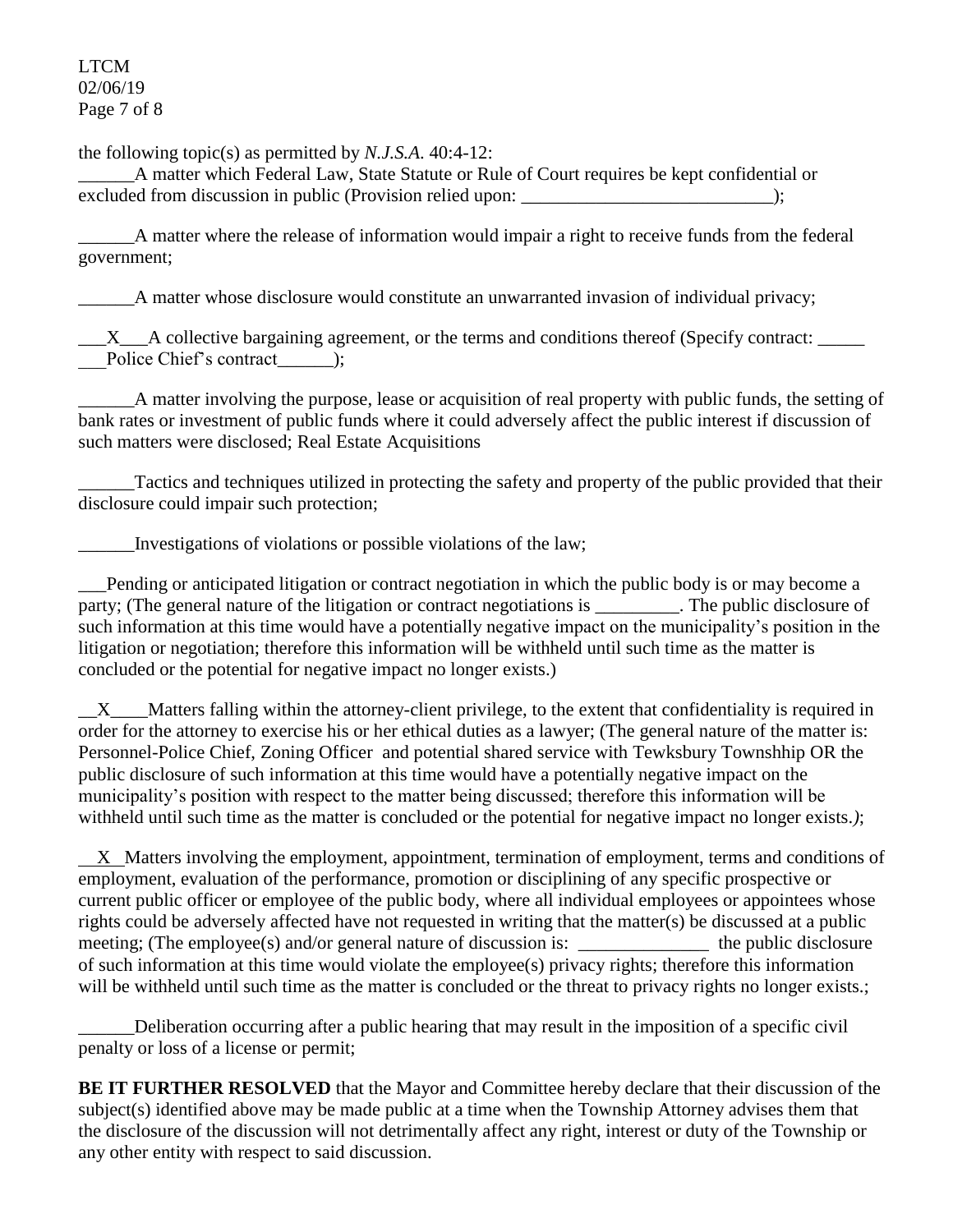LTCM 02/06/19 Page 7 of 8

the following topic(s) as permitted by *N.J.S.A*. 40:4-12:

\_\_\_\_\_\_A matter which Federal Law, State Statute or Rule of Court requires be kept confidential or excluded from discussion in public (Provision relied upon:  $\cdot$  );

\_\_\_\_\_\_A matter where the release of information would impair a right to receive funds from the federal government;

A matter whose disclosure would constitute an unwarranted invasion of individual privacy;

 $\_X$ <sub> $\_$ </sub>A collective bargaining agreement, or the terms and conditions thereof (Specify contract: \_\_\_Police Chief's contract\_\_\_\_\_\_);

\_\_\_\_\_\_A matter involving the purpose, lease or acquisition of real property with public funds, the setting of bank rates or investment of public funds where it could adversely affect the public interest if discussion of such matters were disclosed; Real Estate Acquisitions

Tactics and techniques utilized in protecting the safety and property of the public provided that their disclosure could impair such protection;

Investigations of violations or possible violations of the law;

\_\_\_Pending or anticipated litigation or contract negotiation in which the public body is or may become a party; (The general nature of the litigation or contract negotiations is The public disclosure of such information at this time would have a potentially negative impact on the municipality's position in the litigation or negotiation; therefore this information will be withheld until such time as the matter is concluded or the potential for negative impact no longer exists.)

\_\_X\_\_\_\_Matters falling within the attorney-client privilege, to the extent that confidentiality is required in order for the attorney to exercise his or her ethical duties as a lawyer; (The general nature of the matter is: Personnel-Police Chief, Zoning Officer and potential shared service with Tewksbury Townshhip OR the public disclosure of such information at this time would have a potentially negative impact on the municipality's position with respect to the matter being discussed; therefore this information will be withheld until such time as the matter is concluded or the potential for negative impact no longer exists.);

 X Matters involving the employment, appointment, termination of employment, terms and conditions of employment, evaluation of the performance, promotion or disciplining of any specific prospective or current public officer or employee of the public body, where all individual employees or appointees whose rights could be adversely affected have not requested in writing that the matter(s) be discussed at a public meeting; (The employee(s) and/or general nature of discussion is: \_\_\_\_\_\_\_\_\_\_\_\_\_\_\_\_ the public disclosure of such information at this time would violate the employee(s) privacy rights; therefore this information will be withheld until such time as the matter is concluded or the threat to privacy rights no longer exists.;

\_\_\_\_\_\_Deliberation occurring after a public hearing that may result in the imposition of a specific civil penalty or loss of a license or permit;

**BE IT FURTHER RESOLVED** that the Mayor and Committee hereby declare that their discussion of the subject(s) identified above may be made public at a time when the Township Attorney advises them that the disclosure of the discussion will not detrimentally affect any right, interest or duty of the Township or any other entity with respect to said discussion.